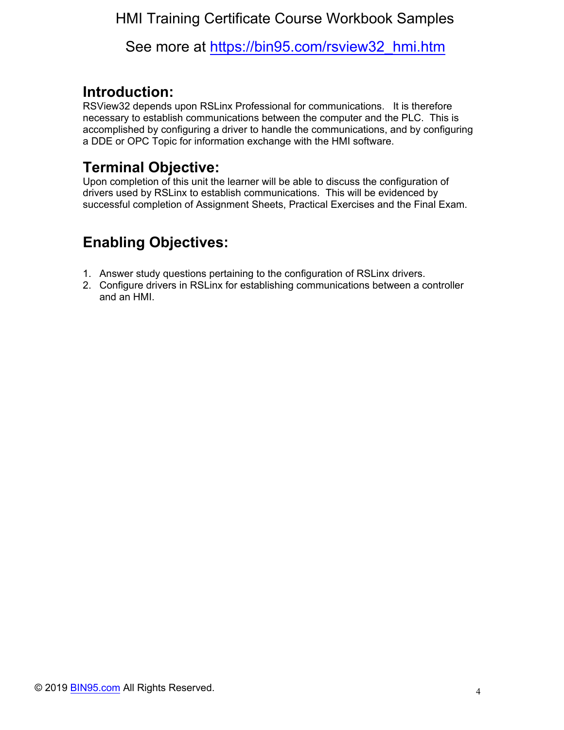#### HMI Training Certificate Course Workbook Samples

See more at [https://bin95.com/rsview32\\_hmi.htm](https://bin95.com/rsview32_hmi.htm)

#### **Introduction:**

RSView32 depends upon RSLinx Professional for communications. It is therefore necessary to establish communications between the computer and the PLC. This is accomplished by configuring a driver to handle the communications, and by configuring a DDE or OPC Topic for information exchange with the HMI software.

## **Terminal Objective:**

Upon completion of this unit the learner will be able to discuss the configuration of drivers used by RSLinx to establish communications. This will be evidenced by successful completion of Assignment Sheets, Practical Exercises and the Final Exam.

# **Enabling Objectives:**

- 1. Answer study questions pertaining to the configuration of RSLinx drivers.
- 2. Configure drivers in RSLinx for establishing communications between a controller and an HMI.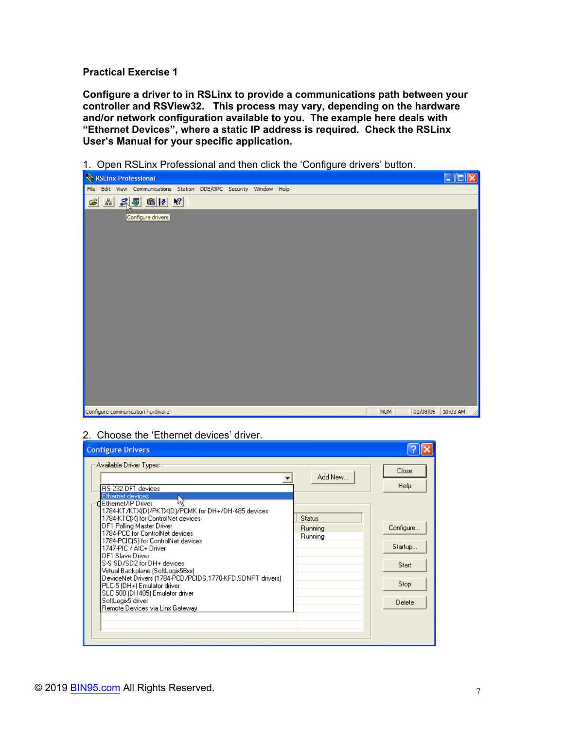**Practical Exercise 1** 

**Configure a driver to in RSLinx to provide a communications path between your controller and RSView32. This process may vary, depending on the hardware and/or network configuration available to you. The example here deals with "Ethernet Devices", where a static IP address is required. Check the RSLinx User's Manual for your specific application.** 

1. Open RSLinx Professional and then click the 'Configure drivers' button.



#### 2. Choose the 'Ethernet devices' driver.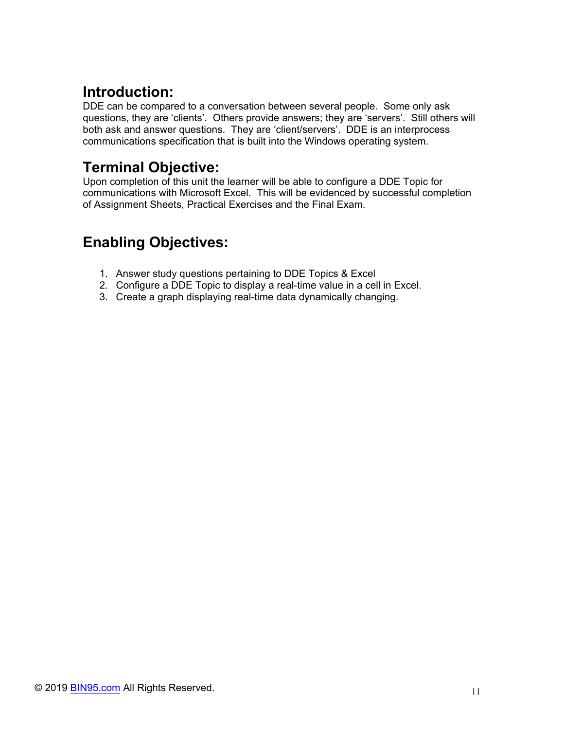## **Introduction:**

DDE can be compared to a conversation between several people. Some only ask questions, they are 'clients'. Others provide answers; they are 'servers'. Still others will both ask and answer questions. They are 'client/servers'. DDE is an interprocess communications specification that is built into the Windows operating system.

## **Terminal Objective:**

Upon completion of this unit the learner will be able to configure a DDE Topic for communications with Microsoft Excel. This will be evidenced by successful completion of Assignment Sheets, Practical Exercises and the Final Exam.

# **Enabling Objectives:**

- 1. Answer study questions pertaining to DDE Topics & Excel
- 2. Configure a DDE Topic to display a real-time value in a cell in Excel.
- 3. Create a graph displaying real-time data dynamically changing.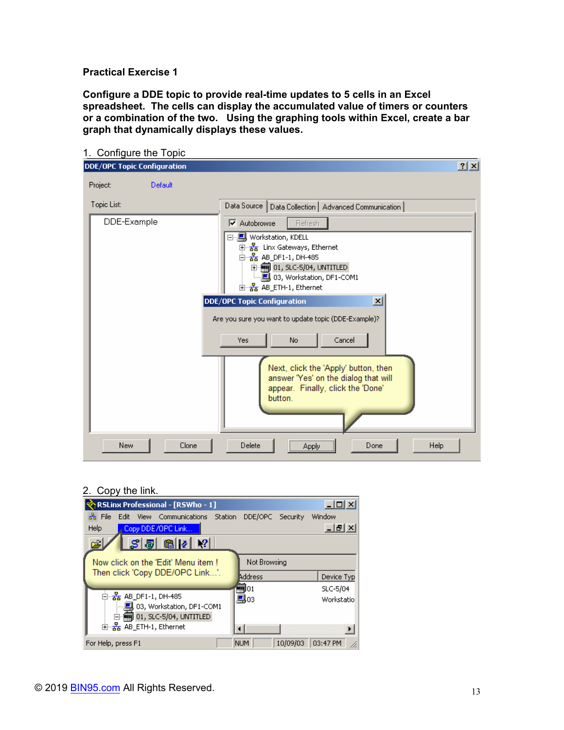#### **Practical Exercise 1**

**Configure a DDE topic to provide real-time updates to 5 cells in an Excel spreadsheet. The cells can display the accumulated value of timers or counters or a combination of the two. Using the graphing tools within Excel, create a bar graph that dynamically displays these values.** 

| 1. Configure the Topic             |                                                                                                                                                                                              |    |
|------------------------------------|----------------------------------------------------------------------------------------------------------------------------------------------------------------------------------------------|----|
| <b>DDE/OPC Topic Configuration</b> |                                                                                                                                                                                              | 2x |
| Project:<br>Default                |                                                                                                                                                                                              |    |
| Topic List:                        | Data Source   Data Collection   Advanced Communication                                                                                                                                       |    |
| DDE-Example                        | $\nabla$ Autobrowse<br>Refresh<br>⊟… <mark>具</mark> , Workstation, KDELL<br>中 品 Linx Gateways, Ethernet<br>白 <mark>品</mark> AB_DF1-1, DH-485<br>$\oplus \overline{=}$ 01, SLC-5/04, UNTITLED |    |
|                                    | 国··· He AB_ETH-1, Ethernet                                                                                                                                                                   |    |
|                                    | $\overline{\mathbf{x}}$<br><b>DDE/OPC Topic Configuration</b><br>Are you sure you want to update topic (DDE-Example)?<br>Cancel<br>Yes<br>No.                                                |    |
|                                    | Next, click the 'Apply' button, then<br>answer 'Yes' on the dialog that will<br>appear. Finally, click the 'Done'<br>button.                                                                 |    |
| <b>New</b><br>Clone                | Delete<br><b>Help</b><br>Done<br>Apply                                                                                                                                                       |    |

#### 2. Copy the link.

| र् <mark>रे</mark> †RSLinx Professional - [RSWho - 1] |  |               |                  | 니미지           |  |  |
|-------------------------------------------------------|--|---------------|------------------|---------------|--|--|
| <del>훎</del> File<br>Edit View Communications Station |  |               | DDE/OPC Security | Window        |  |  |
| Help<br>Copy DDE/OPC Link                             |  |               |                  | <u>_ [리 지</u> |  |  |
| $S$ 5 $ E $ 2 $ V $<br>اھ                             |  |               |                  |               |  |  |
| Now click on the 'Edit' Menu item!                    |  | Not Browsing  |                  |               |  |  |
| Then click 'Copy DDE/OPC Link'.                       |  | Address       |                  | Device Typ    |  |  |
|                                                       |  | <b>==1</b> 01 |                  | SLC-5/04      |  |  |
| 白 <sub>石</sub> AB_DF1-1, DH-485                       |  | 鳯03           |                  | Workstatio    |  |  |
| 鳳 03, Workstation, DF1-COM1                           |  |               |                  |               |  |  |
| $\Box$ $\blacksquare$ 01, SLC-5/04, UNTITLED          |  |               |                  |               |  |  |
| 由- <mark>器</mark> AB_ETH-1, Ethernet                  |  |               |                  |               |  |  |
| For Help, press F1                                    |  | NUM.          | 10/09/03         | 03:47 PM      |  |  |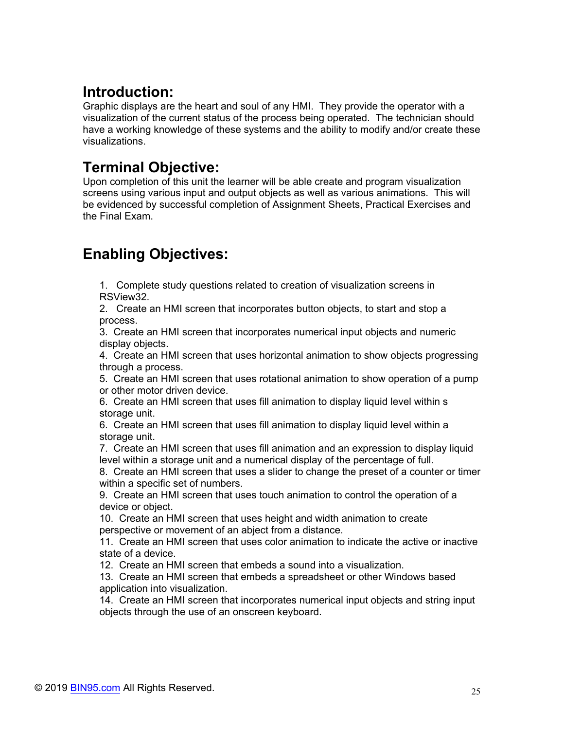## **Introduction:**

Graphic displays are the heart and soul of any HMI. They provide the operator with a visualization of the current status of the process being operated. The technician should have a working knowledge of these systems and the ability to modify and/or create these visualizations.

### **Terminal Objective:**

Upon completion of this unit the learner will be able create and program visualization screens using various input and output objects as well as various animations. This will be evidenced by successful completion of Assignment Sheets, Practical Exercises and the Final Exam.

# **Enabling Objectives:**

1. Complete study questions related to creation of visualization screens in RSView32.

2. Create an HMI screen that incorporates button objects, to start and stop a process.

3. Create an HMI screen that incorporates numerical input objects and numeric display objects.

4. Create an HMI screen that uses horizontal animation to show objects progressing through a process.

5. Create an HMI screen that uses rotational animation to show operation of a pump or other motor driven device.

6. Create an HMI screen that uses fill animation to display liquid level within s storage unit.

6. Create an HMI screen that uses fill animation to display liquid level within a storage unit.

7. Create an HMI screen that uses fill animation and an expression to display liquid level within a storage unit and a numerical display of the percentage of full.

8. Create an HMI screen that uses a slider to change the preset of a counter or timer within a specific set of numbers.

9. Create an HMI screen that uses touch animation to control the operation of a device or object.

10. Create an HMI screen that uses height and width animation to create perspective or movement of an abject from a distance.

11. Create an HMI screen that uses color animation to indicate the active or inactive state of a device.

12. Create an HMI screen that embeds a sound into a visualization.

13. Create an HMI screen that embeds a spreadsheet or other Windows based application into visualization.

14. Create an HMI screen that incorporates numerical input objects and string input objects through the use of an onscreen keyboard.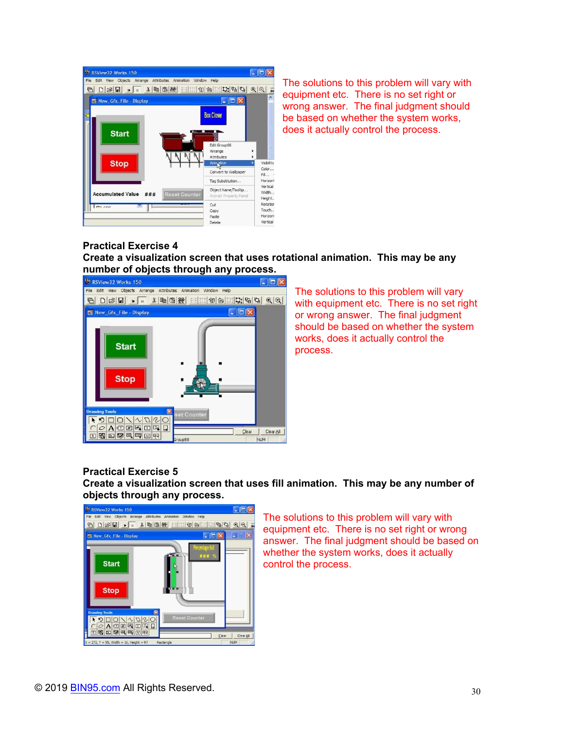

The solutions to this problem will vary with equipment etc. There is no set right or wrong answer. The final judgment should be based on whether the system works, does it actually control the process.

#### **Practical Exercise 4 Create a visualization screen that uses rotational animation. This may be any number of objects through any process.**



The solutions to this problem will vary with equipment etc. There is no set right or wrong answer. The final judgment should be based on whether the system works, does it actually control the process.

#### **Practical Exercise 5**

**Create a visualization screen that uses fill animation. This may be any number of objects through any process.** 



The solutions to this problem will vary with equipment etc. There is no set right or wrong answer. The final judgment should be based on whether the system works, does it actually control the process.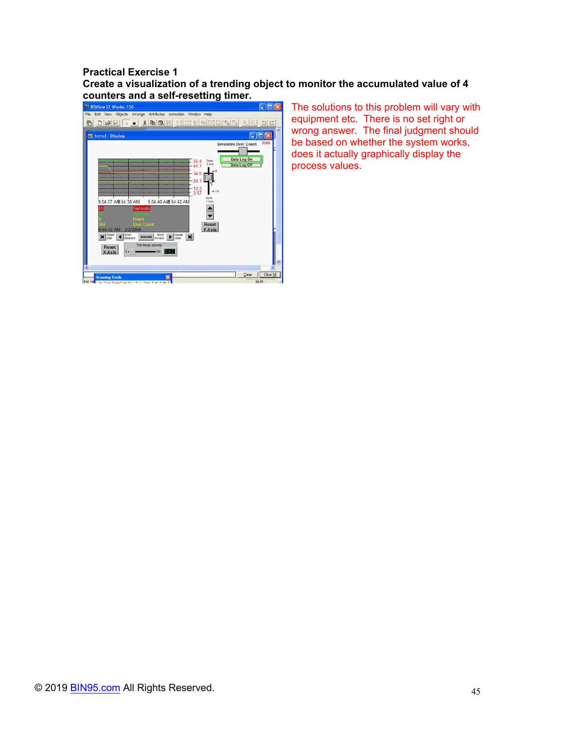### **Practical Exercise 1 Create a visualization of a trending object to monitor the accumulated value of 4**



The solutions to this problem will vary with equipment etc. There is no set right or wrong answer. The final judgment should be based on whether the system works, does it actually graphically display the process values.